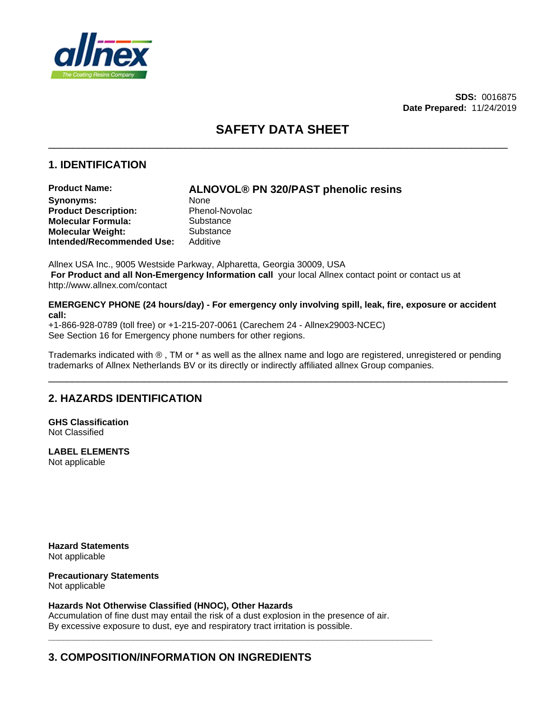

**SDS:** 0016875 **Date Prepared:** 11/24/2019

# **SAFETY DATA SHEET**

\_\_\_\_\_\_\_\_\_\_\_\_\_\_\_\_\_\_\_\_\_\_\_\_\_\_\_\_\_\_\_\_\_\_\_\_\_\_\_\_\_\_\_\_\_\_\_\_\_\_\_\_\_\_\_\_\_\_\_\_\_\_\_\_\_\_\_\_\_\_\_\_\_\_\_\_\_

\_\_\_\_\_\_\_\_\_\_\_\_\_\_\_\_\_\_\_\_\_\_\_\_\_\_\_\_\_\_\_\_\_\_\_\_\_\_\_\_\_\_\_\_\_\_\_\_\_\_\_\_\_\_\_\_\_\_\_\_\_\_\_\_\_\_\_\_\_\_\_\_\_\_\_\_\_

# **1. IDENTIFICATION**

**Product Name: ALNOVOL® PN 320/PAST phenolic resins** Synonyms: None **Product Description:** Phenol-Novolac **Molecular Formula:** Substance **Molecular Weight:** Substance **Intended/Recommended Use:** Additive

Allnex USA Inc., 9005 Westside Parkway, Alpharetta, Georgia 30009, USA **For Product and all Non-Emergency Information call** your local Allnex contact point or contact us at http://www.allnex.com/contact

**EMERGENCY PHONE (24 hours/day) - For emergency only involving spill, leak, fire, exposure or accident call:**

+1-866-928-0789 (toll free) or +1-215-207-0061 (Carechem 24 - Allnex29003-NCEC) See Section 16 for Emergency phone numbers for other regions.

Trademarks indicated with  $\odot$ , TM or \* as well as the allnex name and logo are registered, unregistered or pending trademarks of Allnex Netherlands BV or its directly or indirectly affiliated allnex Group companies.

**\_\_\_\_\_\_\_\_\_\_\_\_\_\_\_\_\_\_\_\_\_\_\_\_\_\_\_\_\_\_\_\_\_\_\_\_\_\_\_\_\_\_\_\_\_\_\_\_\_\_\_\_\_\_\_\_\_\_\_\_\_\_\_\_\_\_\_\_\_\_\_\_\_\_\_\_\_**

# **2. HAZARDS IDENTIFICATION**

**GHS Classification**  Not Classified

**LABEL ELEMENTS** Not applicable

**Hazard Statements** Not applicable

# **Precautionary Statements**

Not applicable

### **Hazards Not Otherwise Classified (HNOC), Other Hazards**

Accumulation of fine dust may entail the risk of a dust explosion in the presence of air. By excessive exposure to dust, eye and respiratory tract irritation is possible.

# **3. COMPOSITION/INFORMATION ON INGREDIENTS**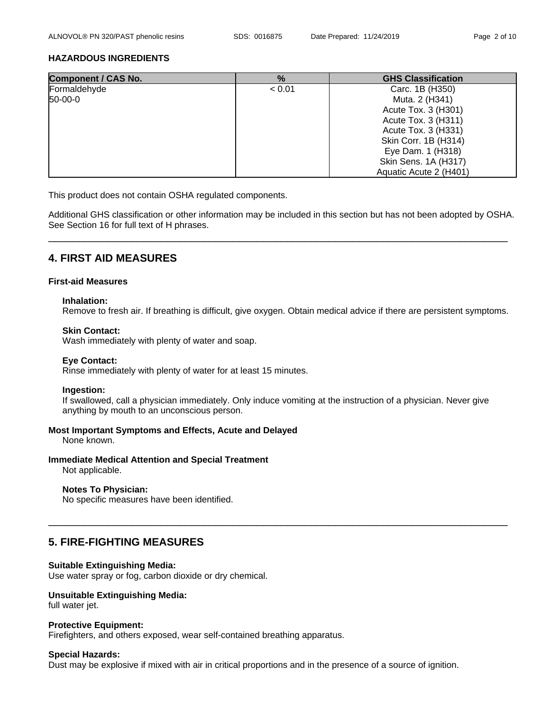\_\_\_\_\_\_\_\_\_\_\_\_\_\_\_\_\_\_\_\_\_\_\_\_\_\_\_\_\_\_\_\_\_\_\_\_\_\_\_\_\_\_\_\_\_\_\_\_\_\_\_\_\_\_\_\_\_\_\_\_\_\_\_\_\_\_\_\_\_\_\_\_\_\_\_\_\_

### **HAZARDOUS INGREDIENTS**

| <b>Component / CAS No.</b> | %      | <b>GHS Classification</b>   |
|----------------------------|--------|-----------------------------|
| Formaldehyde               | < 0.01 | Carc. 1B (H350)             |
| 50-00-0                    |        | Muta. 2 (H341)              |
|                            |        | Acute Tox. 3 (H301)         |
|                            |        | Acute Tox. 3 (H311)         |
|                            |        | Acute Tox. 3 (H331)         |
|                            |        | Skin Corr. 1B (H314)        |
|                            |        | Eye Dam. 1 (H318)           |
|                            |        | <b>Skin Sens. 1A (H317)</b> |
|                            |        | Aquatic Acute 2 (H401)      |

This product does not contain OSHA regulated components.

Additional GHS classification or other information may be included in this section but has not been adopted by OSHA. See Section 16 for full text of H phrases.

# **4. FIRST AID MEASURES**

### **First-aid Measures**

### **Inhalation:**

Remove to fresh air.If breathing is difficult, give oxygen. Obtain medical advice if there are persistent symptoms.

### **Skin Contact:**

Wash immediately with plenty of water and soap.

### **Eye Contact:**

Rinse immediately with plenty of water for at least 15 minutes.

### **Ingestion:**

If swallowed, call a physician immediately. Only induce vomiting at the instruction of a physician. Never give anything by mouth to an unconscious person.

### **Most Important Symptoms and Effects, Acute and Delayed**

None known.

### **Immediate Medical Attention and Special Treatment**

Not applicable.

### **Notes To Physician:**

No specific measures have been identified.

# **5. FIRE-FIGHTING MEASURES**

### **Suitable Extinguishing Media:**

Use water spray or fog, carbon dioxide or dry chemical.

### **Unsuitable Extinguishing Media:**

full water jet.

### **Protective Equipment:**

Firefighters, and others exposed, wear self-contained breathing apparatus.

### **Special Hazards:**

Dust may be explosive if mixed with air in critical proportions and in the presence of a source of ignition.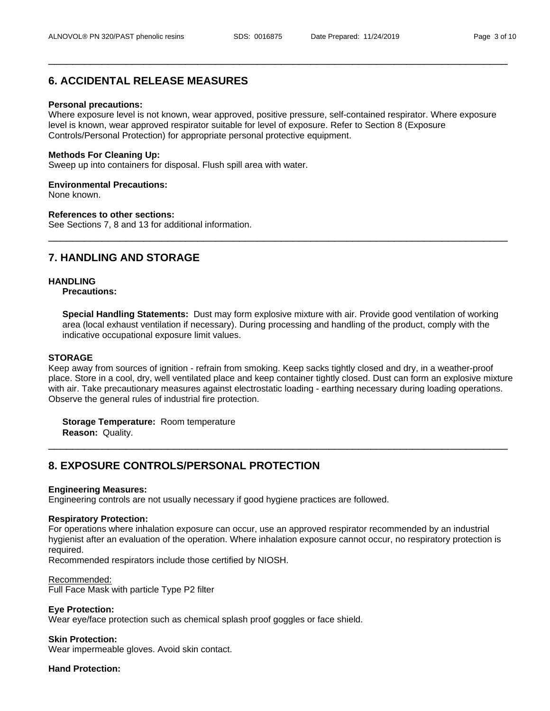\_\_\_\_\_\_\_\_\_\_\_\_\_\_\_\_\_\_\_\_\_\_\_\_\_\_\_\_\_\_\_\_\_\_\_\_\_\_\_\_\_\_\_\_\_\_\_\_\_\_\_\_\_\_\_\_\_\_\_\_\_\_\_\_\_\_\_\_\_\_\_\_\_\_\_\_\_

\_\_\_\_\_\_\_\_\_\_\_\_\_\_\_\_\_\_\_\_\_\_\_\_\_\_\_\_\_\_\_\_\_\_\_\_\_\_\_\_\_\_\_\_\_\_\_\_\_\_\_\_\_\_\_\_\_\_\_\_\_\_\_\_\_\_\_\_\_\_\_\_\_\_\_\_\_

# **6. ACCIDENTAL RELEASE MEASURES**

#### **Personal precautions:**

Where exposure level is not known, wear approved, positive pressure, self-contained respirator. Where exposure level is known, wear approved respirator suitable for level of exposure. Refer to Section 8 (Exposure Controls/Personal Protection) for appropriate personal protective equipment.

#### **Methods For Cleaning Up:**

Sweep up into containers for disposal. Flush spill area with water.

#### **Environmental Precautions:**

None known.

### **References to other sections:**

See Sections 7, 8 and 13 for additional information.

# **7. HANDLING AND STORAGE**

### **HANDLING**

**Precautions:**

**Special Handling Statements:** Dust may form explosive mixture with air. Provide good ventilation of working area (local exhaust ventilation if necessary). During processing and handling of the product, comply with the indicative occupational exposure limit values.

#### **STORAGE**

Keep away from sources of ignition - refrain from smoking. Keep sacks tightly closed and dry, in a weather-proof place. Store in a cool, dry, wellventilated place and keep container tightly closed. Dust can form an explosive mixture with air. Take precautionary measures against electrostatic loading - earthing necessary during loading operations. Observe the general rules of industrial fire protection.

**Storage Temperature:** Room temperature **Reason:** Quality.

# **8. EXPOSURE CONTROLS/PERSONAL PROTECTION**

#### **Engineering Measures:**

Engineering controls are not usually necessary if good hygiene practices are followed.

#### **Respiratory Protection:**

For operations where inhalation exposure can occur, use an approved respirator recommended by an industrial hygienist after an evaluation of the operation. Where inhalation exposure cannot occur, no respiratory protection is required.

Recommended respirators include those certified by NIOSH.

#### Recommended:

Full Face Mask with particle Type P2 filter

### **Eye Protection:**

Wear eye/face protection such as chemical splash proof goggles or face shield.

#### **Skin Protection:**

Wear impermeable gloves. Avoid skin contact.

### **Hand Protection:**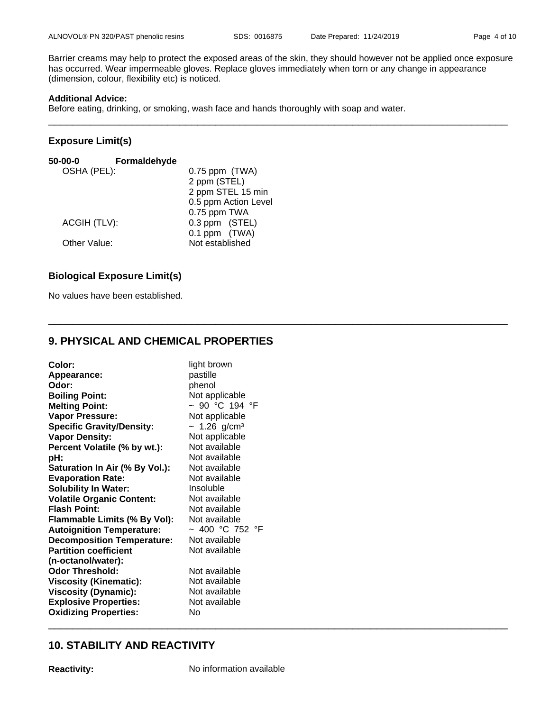\_\_\_\_\_\_\_\_\_\_\_\_\_\_\_\_\_\_\_\_\_\_\_\_\_\_\_\_\_\_\_\_\_\_\_\_\_\_\_\_\_\_\_\_\_\_\_\_\_\_\_\_\_\_\_\_\_\_\_\_\_\_\_\_\_\_\_\_\_\_\_\_\_\_\_\_\_

Barrier creams may help to protect the exposed areas of the skin, they should however not be applied once exposure has occurred. Wear impermeable gloves. Replace gloves immediately when torn or any change in appearance (dimension, colour, flexibility etc) is noticed.

## **Additional Advice:**

Before eating, drinking, or smoking, wash face and hands thoroughly with soap and water.

## **Exposure Limit(s)**

| $50 - 00 - 0$ | Formaldehyde |                      |
|---------------|--------------|----------------------|
| OSHA (PEL):   |              | $0.75$ ppm $(TWA)$   |
|               |              | 2 ppm (STEL)         |
|               |              | 2 ppm STEL 15 min    |
|               |              | 0.5 ppm Action Level |
|               |              | 0.75 ppm TWA         |
| ACGIH (TLV):  |              | 0.3 ppm (STEL)       |
|               |              | 0.1 ppm (TWA)        |
| Other Value:  |              | Not established      |
|               |              |                      |

# **Biological Exposure Limit(s)**

No values have been established.

# **9. PHYSICAL AND CHEMICAL PROPERTIES**

| Color:                            | light brown       |
|-----------------------------------|-------------------|
| Appearance:                       | pastille          |
| Odor:                             | phenol            |
| <b>Boiling Point:</b>             | Not applicable    |
| <b>Melting Point:</b>             | ~ 90 °C 194 °F    |
| <b>Vapor Pressure:</b>            | Not applicable    |
| <b>Specific Gravity/Density:</b>  | ~ 1.26 $g/cm^{3}$ |
| <b>Vapor Density:</b>             | Not applicable    |
| Percent Volatile (% by wt.):      | Not available     |
| pH:                               | Not available     |
| Saturation In Air (% By Vol.):    | Not available     |
| <b>Evaporation Rate:</b>          | Not available     |
| <b>Solubility In Water:</b>       | Insoluble         |
| <b>Volatile Organic Content:</b>  | Not available     |
| <b>Flash Point:</b>               | Not available     |
| Flammable Limits (% By Vol):      | Not available     |
| <b>Autoignition Temperature:</b>  | ~ 400 °C 752 °F   |
| <b>Decomposition Temperature:</b> | Not available     |
| <b>Partition coefficient</b>      | Not available     |
| (n-octanol/water):                |                   |
| <b>Odor Threshold:</b>            | Not available     |
| <b>Viscosity (Kinematic):</b>     | Not available     |
| <b>Viscosity (Dynamic):</b>       | Not available     |
| <b>Explosive Properties:</b>      | Not available     |
| <b>Oxidizing Properties:</b>      | No                |
|                                   |                   |

# **10. STABILITY AND REACTIVITY**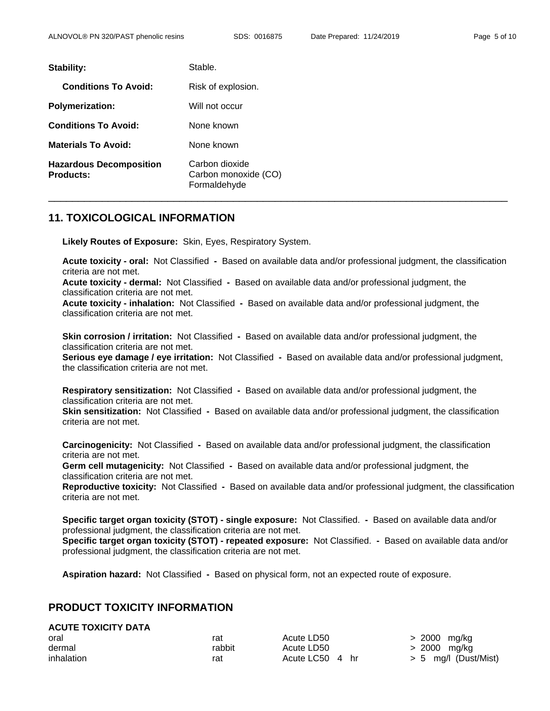| Stability:                                         | Stable.                                                |
|----------------------------------------------------|--------------------------------------------------------|
| <b>Conditions To Avoid:</b>                        | Risk of explosion.                                     |
| <b>Polymerization:</b>                             | Will not occur                                         |
| <b>Conditions To Avoid:</b>                        | None known                                             |
| <b>Materials To Avoid:</b>                         | None known                                             |
| <b>Hazardous Decomposition</b><br><b>Products:</b> | Carbon dioxide<br>Carbon monoxide (CO)<br>Formaldehyde |

# **11. TOXICOLOGICAL INFORMATION**

**Likely Routes of Exposure:** Skin, Eyes, Respiratory System.

**Acute toxicity - oral:** Not Classified **-** Based on available data and/or professional judgment, the classification criteria are not met.

**Acute toxicity - dermal:** Not Classified **-** Based on available data and/or professional judgment, the classification criteria are not met.

**Acute toxicity - inhalation:** Not Classified **-** Based on available data and/or professional judgment, the classification criteria are not met.

**Skin corrosion / irritation:** Not Classified **-** Based on available data and/or professional judgment, the classification criteria are not met.

**Serious eye damage / eye irritation:** Not Classified **-** Based on available data and/or professional judgment, the classification criteria are not met.

**Respiratory sensitization:** Not Classified **-** Based on available data and/or professional judgment, the classification criteria are not met.

**Skin sensitization:** Not Classified **-** Based on available data and/or professional judgment, the classification criteria are not met.

**Carcinogenicity:** Not Classified **-** Based on available data and/or professional judgment, the classification criteria are not met.

**Germ cell mutagenicity:** Not Classified **-** Based on available data and/or professional judgment, the classification criteria are not met.

**Reproductive toxicity:** Not Classified **-** Based on available data and/or professional judgment, the classification criteria are not met.

**Specific target organ toxicity (STOT) -single exposure:** Not Classified. **-** Based on available data and/or professional judgment, the classification criteria are not met.

**Specific target organ toxicity (STOT) -repeated exposure:** Not Classified. **-** Based on available data and/or professional judgment, the classification criteria are not met.

**Aspiration hazard:** Not Classified **-** Based on physical form, not an expected route of exposure.

# **PRODUCT TOXICITY INFORMATION**

| <b>ACUTE TOXICITY DATA</b> |  |
|----------------------------|--|
|                            |  |

| oral       | rat    | Acute LD50      | > 2000 mg/kg    |  |
|------------|--------|-----------------|-----------------|--|
| dermal     | rabbit | Acute LD50      | > 2000 mg/kg    |  |
| inhalation | rat    | Acute LC50 4 hr | $> 5$ mg/l (Dus |  |

Acute LC50  $4 \text{ hr}$  > 5 mg/l (Dust/Mist)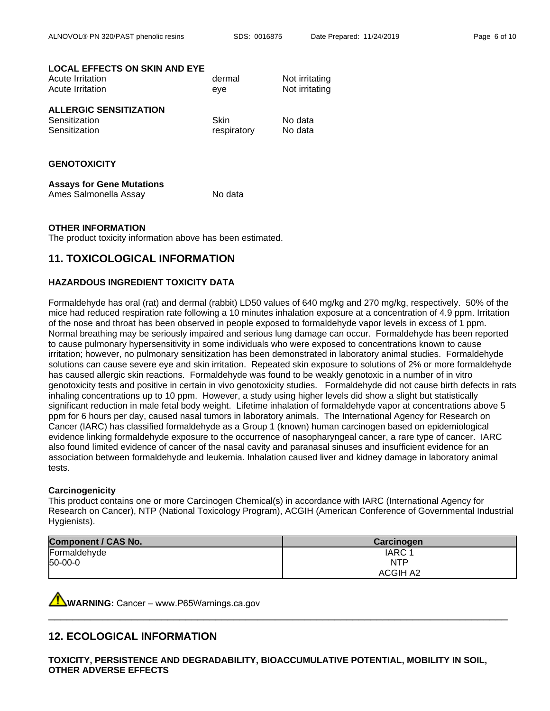### **LOCAL EFFECTS ON SKIN AND EYE**

| Acute Irritation              | dermal | Not irritating |
|-------------------------------|--------|----------------|
| Acute Irritation              | eve    | Not irritating |
| <b>ALLERGIC SENSITIZATION</b> |        |                |
| Sensitization                 | Skin   | No data        |

Sensitization and the sense of the respiratory and No data

### **GENOTOXICITY**

#### **Assays for Gene Mutations** Ames Salmonella Assay No data

### **OTHER INFORMATION**

The product toxicity information above has been estimated.

# **11. TOXICOLOGICAL INFORMATION**

### **HAZARDOUS INGREDIENT TOXICITY DATA**

Formaldehyde has oral (rat) and dermal (rabbit) LD50 values of 640 mg/kg and 270 mg/kg, respectively. 50% of the mice had reduced respiration rate following a 10 minutes inhalation exposure at a concentration of 4.9 ppm. Irritation of the nose and throat has been observed in people exposed to formaldehyde vapor levels in excess of 1 ppm. Normal breathing may be seriously impaired and serious lung damage can occur. Formaldehyde has been reported to cause pulmonary hypersensitivity in some individuals who were exposed to concentrations known to cause irritation; however, no pulmonary sensitization has been demonstrated in laboratory animal studies. Formaldehyde solutions can cause severe eye and skin irritation. Repeated skin exposure to solutions of 2% or more formaldehyde has caused allergic skin reactions. Formaldehyde was found to be weakly genotoxic in a number of in vitro genotoxicity tests and positive in certain in vivo genotoxicity studies. Formaldehyde did not cause birth defects in rats inhaling concentrations up to 10 ppm. However, a study using higher levels did show a slight but statistically significant reduction in male fetal body weight. Lifetime inhalation of formaldehyde vapor at concentrations above 5 ppm for 6 hours per day, caused nasal tumors in laboratory animals. The International Agency for Research on Cancer (IARC) has classified formaldehyde as a Group 1 (known) human carcinogen based on epidemiological evidence linking formaldehyde exposure to the occurrence of nasopharyngeal cancer, a rare type of cancer. IARC also found limited evidence of cancer of the nasal cavity and paranasal sinuses and insufficient evidence for an association between formaldehyde and leukemia. Inhalation caused liver and kidney damage in laboratory animal tests.

### **Carcinogenicity**

This product contains one or more Carcinogen Chemical(s) in accordance with IARC (International Agency for Research on Cancer), NTP (National Toxicology Program), ACGIH (American Conference of Governmental Industrial Hygienists).

| <b>Component / CAS No.</b> | <b>Carcinogen</b> |
|----------------------------|-------------------|
| Formaldehyde               | IARC <sub>1</sub> |
| $ 50-00-0 $                | <b>NTP</b>        |
|                            | <b>ACGIH A2</b>   |

\_\_\_\_\_\_\_\_\_\_\_\_\_\_\_\_\_\_\_\_\_\_\_\_\_\_\_\_\_\_\_\_\_\_\_\_\_\_\_\_\_\_\_\_\_\_\_\_\_\_\_\_\_\_\_\_\_\_\_\_\_\_\_\_\_\_\_\_\_\_\_\_\_\_\_\_\_

**WARNING:** Cancer–www.P65Warnings.ca.gov

# **12. ECOLOGICAL INFORMATION**

**TOXICITY, PERSISTENCE AND DEGRADABILITY, BIOACCUMULATIVE POTENTIAL, MOBILITY IN SOIL, OTHER ADVERSE EFFECTS**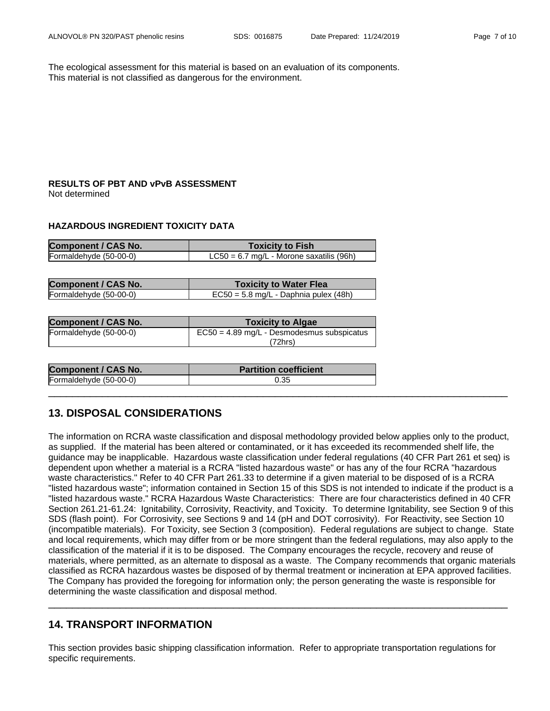The ecological assessment for this material is based on an evaluation of its components. This material is not classified as dangerous for the environment.

## **RESULTS OF PBT AND vPvB ASSESSMENT** Not determined

### **HAZARDOUS INGREDIENT TOXICITY DATA**

| <b>Component / CAS No.</b> | <b>Toxicity to Fish</b>                    |
|----------------------------|--------------------------------------------|
| Formaldehyde (50-00-0)     | $LC50 = 6.7$ mg/L - Morone saxatilis (96h) |

| <b>Component / CAS No.</b> | <b>Toxicity to Water Flea</b>         |
|----------------------------|---------------------------------------|
| Formaldehyde (50-00-0)     | EC50 = 5.8 mg/L - Daphnia pulex (48h) |

| <b>Component / CAS No.</b> | <b>Toxicity to Algae</b>                     |
|----------------------------|----------------------------------------------|
| Formaldehyde (50-00-0)     | $EC50 = 4.89$ mg/L - Desmodesmus subspicatus |
|                            | ′72hrs)                                      |

| <b>Component / CAS No.</b> | <b>Partition coefficient</b> |
|----------------------------|------------------------------|
| Formaldehyde (50-00-0)     | 0.35                         |

# **13. DISPOSAL CONSIDERATIONS**

The information on RCRA waste classification and disposal methodology provided below applies only to the product, as supplied. If the material has been altered or contaminated, or it has exceeded its recommended shelf life, the guidance may be inapplicable. Hazardous waste classification under federal regulations (40 CFR Part 261 et seq)is dependent upon whether a material is a RCRA "listed hazardous waste" or has any of the four RCRA "hazardous waste characteristics." Refer to 40 CFR Part 261.33 to determine if a given material to be disposed of is a RCRA "listed hazardous waste"; information contained in Section 15 of this SDS is not intended to indicate if the product is a "listed hazardous waste." RCRA Hazardous Waste Characteristics: There are four characteristics defined in 40 CFR Section 261.21-61.24: Ignitability, Corrosivity, Reactivity, and Toxicity. To determine Ignitability, see Section 9 of this SDS (flash point). For Corrosivity, see Sections 9 and 14 (pH and DOT corrosivity). For Reactivity, see Section 10 (incompatible materials). For Toxicity, see Section 3 (composition). Federal regulations are subject to change. State and local requirements, which may differ from or be more stringent than the federal regulations, may also apply to the classification of the material if it is to be disposed. The Company encourages the recycle, recovery and reuse of materials, where permitted, as an alternate to disposal as a waste. The Company recommends that organic materials classified as RCRA hazardous wastes be disposed of by thermal treatment or incineration at EPA approved facilities. The Company has provided the foregoing for information only; the person generating the waste isresponsible for determining the waste classification and disposal method.

\_\_\_\_\_\_\_\_\_\_\_\_\_\_\_\_\_\_\_\_\_\_\_\_\_\_\_\_\_\_\_\_\_\_\_\_\_\_\_\_\_\_\_\_\_\_\_\_\_\_\_\_\_\_\_\_\_\_\_\_\_\_\_\_\_\_\_\_\_\_\_\_\_\_\_\_\_

\_\_\_\_\_\_\_\_\_\_\_\_\_\_\_\_\_\_\_\_\_\_\_\_\_\_\_\_\_\_\_\_\_\_\_\_\_\_\_\_\_\_\_\_\_\_\_\_\_\_\_\_\_\_\_\_\_\_\_\_\_\_\_\_\_\_\_\_\_\_\_\_\_\_\_\_\_

# **14. TRANSPORT INFORMATION**

This section provides basic shipping classification information. Refer to appropriate transportation regulations for specific requirements.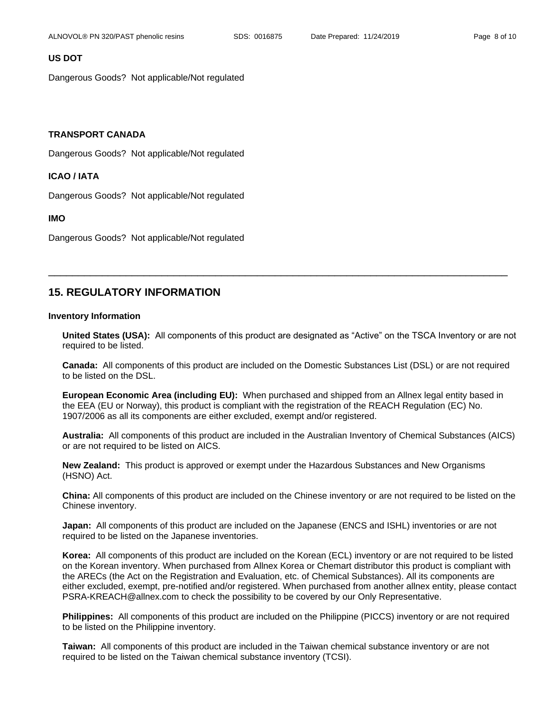### **US DOT**

Dangerous Goods? Not applicable/Not regulated

### **TRANSPORT CANADA**

Dangerous Goods? Not applicable/Not regulated

### **ICAO / IATA**

Dangerous Goods? Not applicable/Not regulated

#### **IMO**

Dangerous Goods? Not applicable/Not regulated

# **15. REGULATORY INFORMATION**

### **Inventory Information**

United States (USA): All components of this product are designated as "Active" on the TSCA Inventory or are not required to be listed.

\_\_\_\_\_\_\_\_\_\_\_\_\_\_\_\_\_\_\_\_\_\_\_\_\_\_\_\_\_\_\_\_\_\_\_\_\_\_\_\_\_\_\_\_\_\_\_\_\_\_\_\_\_\_\_\_\_\_\_\_\_\_\_\_\_\_\_\_\_\_\_\_\_\_\_\_\_

**Canada:** All components of this product are included on the Domestic Substances List (DSL) or are not required to be listed on the DSL.

**European Economic Area (including EU):** When purchased and shipped from an Allnex legal entity based in the EEA (EU or Norway), this product is compliant with the registration of the REACH Regulation (EC) No. 1907/2006 as all its components are either excluded, exempt and/or registered.

**Australia:** All components of this product are included in the Australian Inventory of Chemical Substances (AICS) or are not required to be listed on AICS.

**New Zealand:** This product is approved or exempt under the Hazardous Substances and New Organisms (HSNO) Act.

**China:** All components of this product are included on the Chinese inventory or are not required to be listed on the Chinese inventory.

**Japan:** All components of this product are included on the Japanese (ENCS and ISHL) inventories or are not required to be listed on the Japanese inventories.

**Korea:** All components of this product are included on the Korean (ECL) inventory or are not required to be listed on the Korean inventory. When purchased from Allnex Korea or Chemart distributor this product is compliant with the ARECs (the Act on the Registration and Evaluation, etc. of Chemical Substances). All its components are either excluded, exempt, pre-notified and/or registered. When purchased from another allnex entity, please contact PSRA-KREACH@allnex.com to check the possibility to be covered by our Only Representative.

**Philippines:** All components of this product are included on the Philippine (PICCS) inventory or are not required to be listed on the Philippine inventory.

**Taiwan:** All components of this product are included in the Taiwan chemical substance inventory or are not required to be listed on the Taiwan chemical substance inventory (TCSI).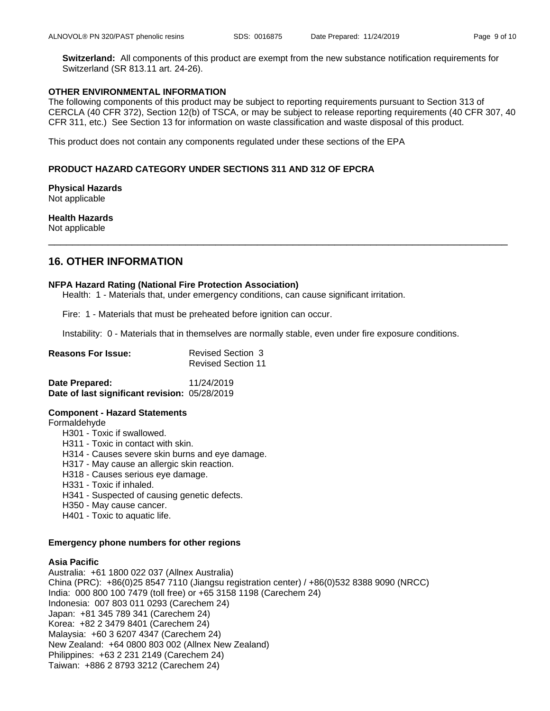**Switzerland:** All components of this product are exempt from the new substance notification requirements for Switzerland (SR 813.11 art. 24-26).

### **OTHER ENVIRONMENTAL INFORMATION**

The following components of this product may be subject to reporting requirements pursuant to Section 313 of CERCLA (40 CFR 372), Section 12(b) of TSCA, or may be subject to release reporting requirements (40 CFR 307, 40 CFR 311, etc.) See Section 13 for information on waste classification and waste disposal of this product.

This product does not contain any components regulated under these sections of the EPA

### **PRODUCT HAZARD CATEGORY UNDER SECTIONS 311 AND 312 OF EPCRA**

**Physical Hazards** Not applicable

# **Health Hazards**

Not applicable \_\_\_\_\_\_\_\_\_\_\_\_\_\_\_\_\_\_\_\_\_\_\_\_\_\_\_\_\_\_\_\_\_\_\_\_\_\_\_\_\_\_\_\_\_\_\_\_\_\_\_\_\_\_\_\_\_\_\_\_\_\_\_\_\_\_\_\_\_\_\_\_\_\_\_\_\_

# **16. OTHER INFORMATION**

### **NFPA Hazard Rating (National Fire Protection Association)**

Health: 1 - Materials that, under emergency conditions, can cause significant irritation.

Fire: 1 - Materials that must be preheated before ignition can occur.

Instability: 0 - Materials that in themselves are normally stable, even under fire exposure conditions.

| <b>Reasons For Issue:</b> | Revised Section 3         |
|---------------------------|---------------------------|
|                           | <b>Revised Section 11</b> |

| Date Prepared:                                | 11/24/2019 |
|-----------------------------------------------|------------|
| Date of last significant revision: 05/28/2019 |            |

### **Component - Hazard Statements**

Formaldehyde

- H301 Toxic if swallowed.
- H311 Toxic in contact with skin.
- H314 Causes severe skin burns and eye damage.
- H317 May cause an allergic skin reaction.
- H318 Causes serious eye damage.
- H331 Toxic if inhaled.
- H341 Suspected of causing genetic defects.
- H350 May cause cancer.
- H401 Toxic to aquatic life.

### **Emergency phone numbers for other regions**

### **Asia Pacific**

Australia: +61 1800 022 037 (Allnex Australia) China (PRC): +86(0)25 8547 7110 (Jiangsu registration center) / +86(0)532 8388 9090 (NRCC) India: 000 800 100 7479 (toll free) or +65 3158 1198 (Carechem 24) Indonesia: 007 803 011 0293 (Carechem 24) Japan: +81 345 789 341 (Carechem 24) Korea: +82 2 3479 8401 (Carechem 24) Malaysia: +60 3 6207 4347 (Carechem 24) New Zealand: +64 0800 803 002 (Allnex New Zealand) Philippines: +63 2 231 2149 (Carechem 24) Taiwan: +886 2 8793 3212 (Carechem 24)